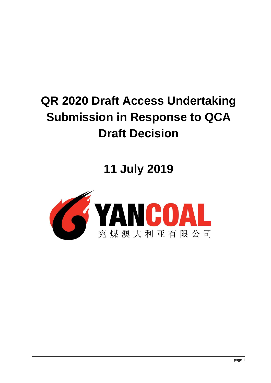# **QR 2020 Draft Access Undertaking Submission in Response to QCA Draft Decision**

**11 July 2019**

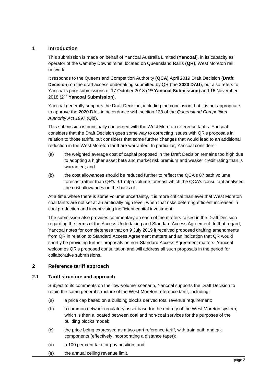# **1 Introduction**

This submission is made on behalf of Yancoal Australia Limited (**Yancoal**), in its capacity as operator of the Cameby Downs mine, located on Queensland Rail's (**QR**), West Moreton rail network.

It responds to the Queensland Competition Authority (**QCA**) April 2019 Draft Decision (**Draft Decision**) on the draft access undertaking submitted by QR (the **2020 DAU**), but also refers to Yancoal's prior submissions of 17 October 2018 (1<sup>st</sup> Yancoal Submission) and 16 November 2018 (**2 nd Yancoal Submission**).

Yancoal generally supports the Draft Decision, including the conclusion that it is not appropriate to approve the 2020 DAU in accordance with section 138 of the *Queensland Competition Authority Act 1997* (Qld).

This submission is principally concerned with the West Moreton reference tariffs. Yancoal considers that the Draft Decision goes some way to correcting issues with QR's proposals in relation to those tariffs, but considers that some further changes that would lead to an additional reduction in the West Moreton tariff are warranted. In particular, Yancoal considers:

- (a) the weighted average cost of capital proposed in the Draft Decision remains too high due to adopting a higher asset beta and market risk premium and weaker credit rating than is warranted; and
- (b) the cost allowances should be reduced further to reflect the QCA's 87 path volume forecast rather than QR's 9.1 mtpa volume forecast which the QCA's consultant analysed the cost allowances on the basis of.

At a time where there is some volume uncertainty, it is more critical than ever that West Moreton coal tariffs are not set at an artificially high level, when that risks deterring efficient increases in coal production and incentivising inefficient capital investment.

The submission also provides commentary on each of the matters raised in the Draft Decision regarding the terms of the Access Undertaking and Standard Access Agreement. In that regard, Yancoal notes for completeness that on 9 July 2019 it received proposed drafting amendments from QR in relation to Standard Access Agreement matters and an indication that QR would shortly be providing further proposals on non-Standard Access Agreement matters. Yancoal welcomes QR's proposed consultation and will address all such proposals in the period for collaborative submissions.

# **2 Reference tariff approach**

# **2.1 Tariff structure and approach**

Subject to its comments on the 'low-volume' scenario, Yancoal supports the Draft Decision to retain the same general structure of the West Moreton reference tariff, including:

- (a) a price cap based on a building blocks derived total revenue requirement;
- (b) a common network regulatory asset base for the entirety of the West Moreton system, which is then allocated between coal and non-coal services for the purposes of the building blocks model;
- (c) the price being expressed as a two-part reference tariff, with train path and gtk components (effectively incorporating a distance taper);
- (d) a 100 per cent take or pay position; and
- (e) the annual ceiling revenue limit.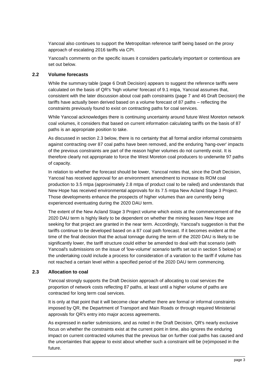Yancoal also continues to support the Metropolitan reference tariff being based on the proxy approach of escalating 2016 tariffs via CPI.

Yancoal's comments on the specific issues it considers particularly important or contentious are set out below.

#### **2.2 Volume forecasts**

While the summary table (page 6 Draft Decision) appears to suggest the reference tariffs were calculated on the basis of QR's 'high volume' forecast of 9.1 mtpa, Yancoal assumes that, consistent with the later discussion about coal path constraints (page 7 and 46 Draft Decision) the tariffs have actually been derived based on a volume forecast of 87 paths – reflecting the constraints previously found to exist on contracting paths for coal services.

While Yancoal acknowledges there is continuing uncertainty around future West Moreton network coal volumes, it considers that based on current information calculating tariffs on the basis of 87 paths is an appropriate position to take.

As discussed in section [2.3](#page-2-0) below, there is no certainty that all formal and/or informal constraints against contracting over 87 coal paths have been removed, and the enduring 'hang-over' impacts of the previous constraints are part of the reason higher volumes do not currently exist. It is therefore clearly not appropriate to force the West Moreton coal producers to underwrite 97 paths of capacity.

In relation to whether the forecast should be lower, Yancoal notes that, since the Draft Decision, Yancoal has received approval for an environment amendment to increase its ROM coal production to 3.5 mtpa (approximately 2.8 mtpa of product coal to be railed) and understands that New Hope has received environmental approvals for its 7.5 mtpa New Acland Stage 3 Project. Those developments enhance the prospects of higher volumes than are currently being experienced eventuating during the 2020 DAU term.

The extent of the New Acland Stage 3 Project volume which exists at the commencement of the 2020 DAU term is highly likely to be dependent on whether the mining leases New Hope are seeking for that project are granted in the near term. Accordingly, Yancoal's suggestion is that the tariffs continue to be developed based on a 87 coal path forecast. If it becomes evident at the time of the final decision that the actual tonnage during the term of the 2020 DAU is likely to be significantly lower, the tariff structure could either be amended to deal with that scenario (with Yancoal's submissions on the issue of 'low-volume' scenario tariffs set out in section [5](#page-11-0) below) or the undertaking could include a process for consideration of a variation to the tariff if volume has not reached a certain level within a specified period of the 2020 DAU term commencing.

# <span id="page-2-0"></span>**2.3 Allocation to coal**

Yancoal strongly supports the Draft Decision approach of allocating to coal services the proportion of network costs reflecting 87 paths, at least until a higher volume of paths are contracted for long term coal services.

It is only at that point that it will become clear whether there are formal or informal constraints imposed by QR, the Department of Transport and Main Roads or through required Ministerial approvals for QR's entry into major access agreements.

As expressed in earlier submissions, and as noted in the Draft Decision, QR's nearly exclusive focus on whether the constraints exist at the current point in time, also ignores the enduring impact on current contracted volumes that the previous bar on further coal paths has caused and the uncertainties that appear to exist about whether such a constraint will be (re)imposed in the future.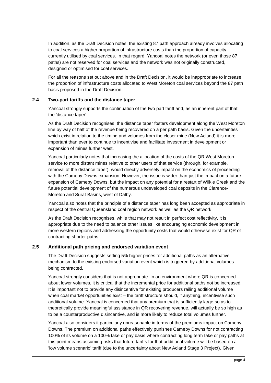In addition, as the Draft Decision notes, the existing 87 path approach already involves allocating to coal services a higher proportion of infrastructure costs than the proportion of capacity currently utilised by coal services. In that regard, Yancoal notes the network (or even those 87 paths) are not reserved for coal services and the network was not originally constructed, designed or optimised for coal services.

For all the reasons set out above and in the Draft Decision, it would be inappropriate to increase the proportion of infrastructure costs allocated to West Moreton coal services beyond the 87 path basis proposed in the Draft Decision.

# **2.4 Two-part tariffs and the distance taper**

Yancoal strongly supports the continuation of the two part tariff and, as an inherent part of that, the 'distance taper'.

As the Draft Decision recognises, the distance taper fosters development along the West Moreton line by way of half of the revenue being recovered on a per path basis. Given the uncertainties which exist in relation to the timing and volumes from the closer mine (New Acland) it is more important than ever to continue to incentivise and facilitate investment in development or expansion of mines further west.

Yancoal particularly notes that increasing the allocation of the costs of the QR West Moreton service to more distant mines relative to other users of that service (through, for example, removal of the distance taper), would directly adversely impact on the economics of proceeding with the Cameby Downs expansion. However, the issue is wider than just the impact on a future expansion of Cameby Downs, but the impact on any potential for a restart of Wilkie Creek and the future potential development of the numerous undeveloped coal deposits in the Clarence-Moreton and Surat Basins, west of Dalby.

Yancoal also notes that the principle of a distance taper has long been accepted as appropriate in respect of the central Queensland coal region network as well as the QR network.

As the Draft Decision recognises, while that may not result in perfect cost reflectivity, it is appropriate due to the need to balance other issues like encouraging economic development in more western regions and addressing the opportunity costs that would otherwise exist for QR of contracting shorter paths.

# <span id="page-3-0"></span>**2.5 Additional path pricing and endorsed variation event**

The Draft Decision suggests setting 5% higher prices for additional paths as an alternative mechanism to the existing endorsed variation event which is triggered by additional volumes being contracted.

Yancoal strongly considers that is not appropriate. In an environment where QR is concerned about lower volumes, it is critical that the incremental price for additional paths not be increased. It is important not to provide any disincentive for existing producers railing additional volume when coal market opportunities exist – the tariff structure should, if anything, incentivise such additional volume. Yancoal is concerned that any premium that is sufficiently large so as to theoretically provide meaningful assistance in QR recovering revenue, will actually be so high as to be a counterproductive disincentive, and is more likely to reduce total volumes further.

Yancoal also considers it particularly unreasonable in terms of the premiums impact on Cameby Downs. The premium on additional paths effectively punishes Cameby Downs for not contracting 100% of its volume on a 100% take or pay basis where contracting long term take or pay paths at this point means assuming risks that future tariffs for that additional volume will be based on a 'low volume scenario' tariff (due to the uncertainty about New Acland Stage 3 Project). Given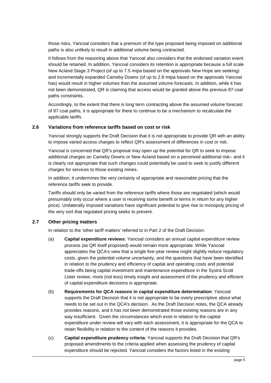those risks, Yancoal considers that a premium of the type proposed being imposed on additional paths is also unlikely to result in additional volume being contracted.

It follows from the reasoning above that Yancoal also considers that the endorsed variation event should be retained. In addition, Yancoal considers its retention is appropriate because a full scale New Acland Stage 3 Project (of up to 7.5 mtpa based on the approvals New Hope are seeking) and incrementally expanded Cameby Downs (of up to 2.8 mtpa based on the approvals Yancoal has) would result in higher volumes than the assumed volume forecasts. In addition, while it has not been demonstrated, QR is claiming that access would be granted above the previous 87 coal paths constraints.

Accordingly, to the extent that there is long term contracting above the assumed volume forecast of 87 coal paths, it is appropriate for there to continue to be a mechanism to recalculate the applicable tariffs.

#### **2.6 Variations from reference tariffs based on cost or risk**

Yancoal strongly supports the Draft Decision that it is not appropriate to provide QR with an ability to impose varied access charges to reflect QR's assessment of differences in cost or risk.

Yancoal is concerned that QR's proposal may open up the potential for QR to seek to impose additional charges on Cameby Downs or New Acland based on a perceived additional risk– and it is clearly not appropriate that such changes could potentially be used to seek to justify different charges for services to those existing mines.

In addition, it undermines the very certainty of appropriate and reasonable pricing that the reference tariffs seek to provide.

Tariffs should only be varied from the reference tariffs where those are negotiated (which would presumably only occur where a user is receiving some benefit or terms in return for any higher price). Unilaterally imposed variations have significant potential to give rise to monopoly pricing of the very sort that regulated pricing seeks to prevent.

# **2.7 Other pricing matters**

In relation to the 'other tariff matters' referred to in Part 2 of the Draft Decision:

- (a) **Capital expenditure reviews**: Yancoal considers an annual capital expenditure review process (as QR itself proposed) would remain more appropriate. While Yancoal appreciates the QCA's view that a single five-year review might slightly reduce regulatory costs, given the potential volume uncertainty, and the questions that have been identified in relation to the prudency and efficiency of capital and operating costs and potential trade-offs being capital investment and maintenance expenditure in the Systra Scott Lister review, more (not less) timely insight and assessment of the prudency and efficient of capital expenditure decisions is appropriate.
- (b) **Requirements for QCA reasons in capital expenditure determination**: Yancoal supports the Draft Decision that it is not appropriate to be overly prescriptive about what needs to be set out in the QCA's decision. As the Draft Decision notes, the QCA already provides reasons, and it has not been demonstrated those existing reasons are in any way insufficient. Given the circumstances which exist in relation to the capital expenditure under review will vary with each assessment, it is appropriate for the QCA to retain flexibility in relation to the content of the reasons it provides.
- (c) **Capital expenditure prudency criteria**: Yancoal supports the Draft Decision that QR's proposed amendments to the criteria applied when assessing the prudency of capital expenditure should be rejected. Yancoal considers the factors listed in the existing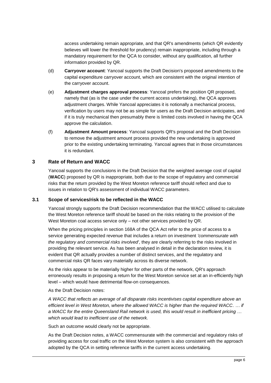access undertaking remain appropriate, and that QR's amendments (which QR evidently believes will lower the threshold for prudency) remain inappropriate, including through a mandatory requirement for the QCA to consider, without any qualification, all further information provided by QR.

- (d) **Carryover account**: Yancoal supports the Draft Decision's proposed amendments to the capital expenditure carryover account, which are consistent with the original intention of the carryover account.
- (e) **Adjustment charges approval process**: Yancoal prefers the position QR proposed, namely that (as is the case under the current access undertaking), the QCA approves adjustment charges. While Yancoal appreciates it is notionally a mechanical process, verification by users may not be as simple for users as the Draft Decision anticipates, and if it is truly mechanical then presumably there is limited costs involved in having the QCA approve the calculation.
- (f) **Adjustment Amount process**: Yancoal supports QR's proposal and the Draft Decision to remove the adjustment amount process provided the new undertaking is approved prior to the existing undertaking terminating. Yancoal agrees that in those circumstances it is redundant.

# <span id="page-5-0"></span>**3 Rate of Return and WACC**

Yancoal supports the conclusions in the Draft Decision that the weighted average cost of capital (**WACC**) proposed by QR is inappropriate, both due to the scope of regulatory and commercial risks that the return provided by the West Moreton reference tariff should reflect and due to issues in relation to QR's assessment of individual WACC parameters.

# **3.1 Scope of services/risk to be reflected in the WACC**

Yancoal strongly supports the Draft Decision recommendation that the WACC utilised to calculate the West Moreton reference tariff should be based on the risks relating to the provision of the West Moreton coal access service only – not other services provided by QR.

When the pricing principles in section 168A of the QCA Act refer to the price of access to a service generating expected revenue that includes a return on investment *'commensurate with the regulatory and commercial risks involved'*, they are clearly referring to the risks involved in providing the relevant service. As has been analysed in detail in the declaration review, it is evident that QR actually provides a number of distinct services, and the regulatory and commercial risks QR faces vary materially across its diverse network.

As the risks appear to be materially higher for other parts of the network, QR's approach erroneously results in proposing a return for the West Moreton service set at an in-efficiently high level – which would have detrimental flow-on consequences.

As the Draft Decision notes:

*A WACC that reflects an average of all disparate risks incentivises capital expenditure above an efficient level in West Moreton, where the allowed WACC is higher than the required WACC. … if a WACC for the entire Queensland Rail network is used, this would result in inefficient pricing … which would lead to inefficient use of the network.*

Such an outcome would clearly not be appropriate.

As the Draft Decision notes, a WACC commensurate with the commercial and regulatory risks of providing access for coal traffic on the West Moreton system is also consistent with the approach adopted by the QCA in setting reference tariffs in the current access undertaking.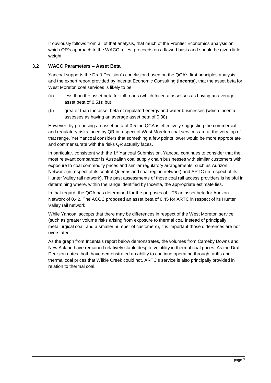It obviously follows from all of that analysis, that much of the Frontier Economics analysis on which QR's approach to the WACC relies, proceeds on a flawed basis and should be given little weight.

# **3.2 WACC Parameters – Asset Beta**

Yancoal supports the Draft Decision's conclusion based on the QCA's first principles analysis, and the expert report provided by Incenta Economic Consulting (**Incenta**), that the asset beta for West Moreton coal services is likely to be:

- (a) less than the asset beta for toll roads (which Incenta assesses as having an average asset beta of 0.51); but
- (b) greater than the asset beta of regulated energy and water businesses (which Incenta assesses as having an average asset beta of 0.38).

However, by proposing an asset beta of 0.5 the QCA is effectively suggesting the commercial and regulatory risks faced by QR in respect of West Moreton coal services are at the very top of that range. Yet Yancoal considers that something a few points lower would be more appropriate and commensurate with the risks QR actually faces.

In particular, consistent with the 1<sup>st</sup> Yancoal Submission, Yancoal continues to consider that the most relevant comparator is Australian coal supply chain businesses with similar customers with exposure to coal commodity prices and similar regulatory arrangements, such as Aurizon Network (in respect of its central Queensland coal region network) and ARTC (in respect of its Hunter Valley rail network). The past assessments of those coal rail access providers is helpful in determining where, within the range identified by Incenta, the appropriate estimate lies.

In that regard, the QCA has determined for the purposes of UT5 an asset beta for Aurizon Network of 0.42. The ACCC proposed an asset beta of 0.45 for ARTC in respect of its Hunter Valley rail network

While Yancoal accepts that there may be differences in respect of the West Moreton service (such as greater volume risks arising from exposure to thermal coal instead of principally metallurgical coal, and a smaller number of customers), it is important those differences are not overstated.

As the graph from Incenta's report below demonstrates, the volumes from Cameby Downs and New Acland have remained relatively stable despite volatility in thermal coal prices. As the Draft Decision notes, both have demonstrated an ability to continue operating through tariffs and thermal coal prices that Wilkie Creek could not. ARTC's service is also principally provided in relation to thermal coal.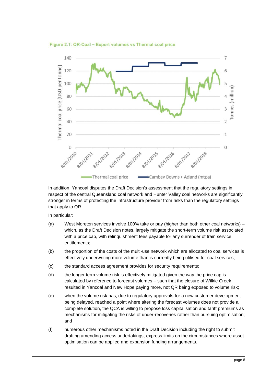



In addition, Yancoal disputes the Draft Decision's assessment that the regulatory settings in respect of the central Queensland coal network and Hunter Valley coal networks are significantly stronger in terms of protecting the infrastructure provider from risks than the regulatory settings that apply to QR.

In particular:

- (a) West Moreton services involve 100% take or pay (higher than both other coal networks) which, as the Draft Decision notes, largely mitigate the short-term volume risk associated with a price cap, with relinquishment fees payable for any surrender of train service entitlements;
- (b) the proportion of the costs of the multi-use network which are allocated to coal services is effectively underwriting more volume than is currently being utilised for coal services;
- (c) the standard access agreement provides for security requirements;
- (d) the longer term volume risk is effectively mitigated given the way the price cap is calculated by reference to forecast volumes – such that the closure of Wilkie Creek resulted in Yancoal and New Hope paying more, not QR being exposed to volume risk;
- (e) when the volume risk has, due to regulatory approvals for a new customer development being delayed, reached a point where altering the forecast volumes does not provide a complete solution, the QCA is willing to propose loss capitalisation and tariff premiums as mechanisms for mitigating the risks of under-recoveries rather than pursuing optimisation; and
- (f) numerous other mechanisms noted in the Draft Decision including the right to submit drafting amending access undertakings, express limits on the circumstances where asset optimisation can be applied and expansion funding arrangements.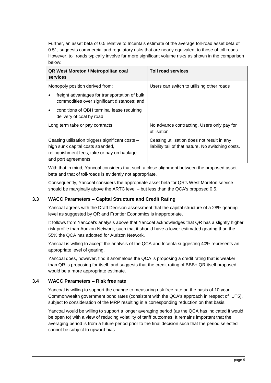Further, an asset beta of 0.5 relative to Incenta's estimate of the average toll-road asset beta of 0.51, suggests commercial and regulatory risks that are nearly equivalent to those of toll roads. However, toll roads typically involve far more significant volume risks as shown in the comparison below:

| <b>QR West Moreton / Metropolitan coal</b><br>services                                                                                                      | <b>Toll road services</b>                                                                        |
|-------------------------------------------------------------------------------------------------------------------------------------------------------------|--------------------------------------------------------------------------------------------------|
| Monopoly position derived from:                                                                                                                             | Users can switch to utilising other roads                                                        |
| freight advantages for transportation of bulk<br>commodities over significant distances; and                                                                |                                                                                                  |
| conditions of QBH terminal lease requiring<br>delivery of coal by road                                                                                      |                                                                                                  |
| Long term take or pay contracts                                                                                                                             | No advance contracting. Users only pay for<br>utilisation                                        |
| Ceasing utilisation triggers significant costs –<br>high sunk capital costs stranded,<br>relinguishment fees, take or pay on haulage<br>and port agreements | Ceasing utilisation does not result in any<br>liability tail of that nature. No switching costs. |

With that in mind, Yancoal considers that such a close alignment between the proposed asset beta and that of toll-roads is evidently not appropriate.

Consequently, Yancoal considers the appropriate asset beta for QR's West Moreton service should be marginally above the ARTC level – but less than the QCA's proposed 0.5.

#### **3.3 WACC Parameters – Capital Structure and Credit Rating**

Yancoal agrees with the Draft Decision assessment that the capital structure of a 28% gearing level as suggested by QR and Frontier Economics is inappropriate.

It follows from Yancoal's analysis above that Yancoal acknowledges that QR has a slightly higher risk profile than Aurizon Network, such that it should have a lower estimated gearing than the 55% the QCA has adopted for Aurizon Network.

Yancoal is willing to accept the analysis of the QCA and Incenta suggesting 40% represents an appropriate level of gearing.

Yancoal does, however, find it anomalous the QCA is proposing a credit rating that is weaker than QR is proposing for itself, and suggests that the credit rating of BBB+ QR itself proposed would be a more appropriate estimate.

# **3.4 WACC Parameters – Risk free rate**

Yancoal is willing to support the change to measuring risk free rate on the basis of 10 year Commonwealth government bond rates (consistent with the QCA's approach in respect of UT5), subject to consideration of the MRP resulting in a corresponding reduction on that basis.

Yancoal would be willing to support a longer averaging period (as the QCA has indicated it would be open to) with a view of reducing volatility of tariff outcomes. It remains important that the averaging period is from a future period prior to the final decision such that the period selected cannot be subject to upward bias.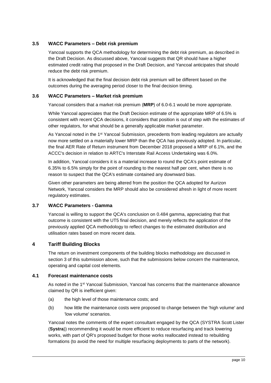# **3.5 WACC Parameters – Debt risk premium**

Yancoal supports the QCA methodology for determining the debt risk premium, as described in the Draft Decision. As discussed above, Yancoal suggests that QR should have a higher estimated credit rating that proposed in the Draft Decision, and Yancoal anticipates that should reduce the debt risk premium.

It is acknowledged that the final decision debt risk premium will be different based on the outcomes during the averaging period closer to the final decision timing.

### **3.6 WACC Parameters – Market risk premium**

Yancoal considers that a market risk premium (**MRP**) of 6.0-6.1 would be more appropriate.

While Yancoal appreciates that the Draft Decision estimate of the appropriate MRP of 6.5% is consistent with recent QCA decisions, it considers that position is out of step with the estimates of other regulators, for what should be a generally applicable market parameter.

As Yancoal noted in the 1st Yancoal Submission, precedents from leading regulators are actually now more settled on a materially lower MRP than the QCA has previously adopted. In particular, the final AER Rate of Return instrument from December 2018 proposed a MRP of 6.1%, and the ACCC's decision in relation to ARTC's Interstate Rail Access Undertaking was 6.0%.

In addition, Yancoal considers it is a material increase to round the QCA's point estimate of 6.35% to 6.5% simply for the point of rounding to the nearest half per cent, when there is no reason to suspect that the QCA's estimate contained any downward bias.

Given other parameters are being altered from the position the QCA adopted for Aurizon Network, Yancoal considers the MRP should also be considered afresh in light of more recent regulatory estimates.

# **3.7 WACC Parameters - Gamma**

Yancoal is willing to support the QCA's conclusion on 0.484 gamma, appreciating that that outcome is consistent with the UT5 final decision, and merely reflects the application of the previously applied QCA methodology to reflect changes to the estimated distribution and utilisation rates based on more recent data.

# **4 Tariff Building Blocks**

The return on investment components of the building blocks methodology are discussed in section [3](#page-5-0) of this submission above, such that the submissions below concern the maintenance, operating and capital cost elements.

#### **4.1 Forecast maintenance costs**

As noted in the 1st Yancoal Submission, Yancoal has concerns that the maintenance allowance claimed by QR is inefficient given:

- (a) the high level of those maintenance costs; and
- (b) how little the maintenance costs were proposed to change between the 'high volume' and 'low volume' scenarios.

Yancoal notes the comments of the expert consultant engaged by the QCA (SYSTRA Scott Lister (**Systra**)) recommending it would be more efficient to reduce resurfacing and track lowering works, with part of QR's proposed budget for those works reallocated instead to rebuilding formations (to avoid the need for multiple resurfacing deployments to parts of the network).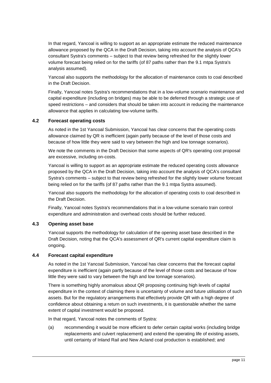In that regard, Yancoal is willing to support as an appropriate estimate the reduced maintenance allowance proposed by the QCA in the Draft Decision, taking into account the analysis of QCA's consultant Systra's comments – subject to that review being refreshed for the slightly lower volume forecast being relied on for the tariffs (of 87 paths rather than the 9.1 mtpa Systra's analysis assumed).

Yancoal also supports the methodology for the allocation of maintenance costs to coal described in the Draft Decision.

Finally, Yancoal notes Systra's recommendations that in a low-volume scenario maintenance and capital expenditure (including on bridges) may be able to be deferred through a strategic use of speed restrictions – and considers that should be taken into account in reducing the maintenance allowance that applies in calculating low-volume tariffs.

# **4.2 Forecast operating costs**

As noted in the 1st Yancoal Submission, Yancoal has clear concerns that the operating costs allowance claimed by QR is inefficient (again partly because of the level of those costs and because of how little they were said to vary between the high and low tonnage scenarios).

We note the comments in the Draft Decision that some aspects of QR's operating cost proposal are excessive, including on-costs.

Yancoal is willing to support as an appropriate estimate the reduced operating costs allowance proposed by the QCA in the Draft Decision, taking into account the analysis of QCA's consultant Systra's comments – subject to that review being refreshed for the slightly lower volume forecast being relied on for the tariffs (of 87 paths rather than the 9.1 mtpa Systra assumed).

Yancoal also supports the methodology for the allocation of operating costs to coal described in the Draft Decision.

Finally, Yancoal notes Systra's recommendations that in a low-volume scenario train control expenditure and administration and overhead costs should be further reduced.

#### **4.3 Opening asset base**

Yancoal supports the methodology for calculation of the opening asset base described in the Draft Decision, noting that the QCA's assessment of QR's current capital expenditure claim is ongoing.

#### **4.4 Forecast capital expenditure**

As noted in the 1st Yancoal Submission, Yancoal has clear concerns that the forecast capital expenditure is inefficient (again partly because of the level of those costs and because of how little they were said to vary between the high and low tonnage scenarios).

There is something highly anomalous about QR proposing continuing high levels of capital expenditure in the context of claiming there is uncertainty of volume and future utilisation of such assets. But for the regulatory arrangements that effectively provide QR with a high degree of confidence about obtaining a return on such investments, it is questionable whether the same extent of capital investment would be proposed.

In that regard, Yancoal notes the comments of Systra:

(a) recommending it would be more efficient to defer certain capital works (including bridge replacements and culvert replacement) and extend the operating life of existing assets, until certainty of Inland Rail and New Acland coal production is established; and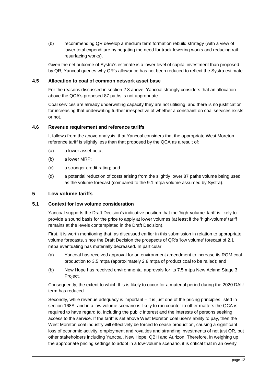(b) recommending QR develop a medium term formation rebuild strategy (with a view of lower total expenditure by negating the need for track lowering works and reducing rail resurfacing works).

Given the net outcome of Systra's estimate is a lower level of capital investment than proposed by QR, Yancoal queries why QR's allowance has not been reduced to reflect the Systra estimate.

#### **4.5 Allocation to coal of common network asset base**

For the reasons discussed in section [2.3](#page-2-0) above, Yancoal strongly considers that an allocation above the QCA's proposed 87 paths is not appropriate.

Coal services are already underwriting capacity they are not utilising, and there is no justification for increasing that underwriting further irrespective of whether a constraint on coal services exists or not.

#### **4.6 Revenue requirement and reference tariffs**

It follows from the above analysis, that Yancoal considers that the appropriate West Moreton reference tariff is slightly less than that proposed by the QCA as a result of:

- (a) a lower asset beta;
- (b) a lower MRP;
- (c) a stronger credit rating; and
- (d) a potential reduction of costs arising from the slightly lower 87 paths volume being used as the volume forecast (compared to the 9.1 mtpa volume assumed by Systra).

#### <span id="page-11-0"></span>**5 Low volume tariffs**

#### **5.1 Context for low volume consideration**

Yancoal supports the Draft Decision's indicative position that the 'high-volume' tariff is likely to provide a sound basis for the price to apply at lower volumes (at least if the 'high-volume' tariff remains at the levels contemplated in the Draft Decision).

First, it is worth mentioning that, as discussed earlier in this submission in relation to appropriate volume forecasts, since the Draft Decision the prospects of QR's 'low volume' forecast of 2.1 mtpa eventuating has materially decreased. In particular:

- (a) Yancoal has received approval for an environment amendment to increase its ROM coal production to 3.5 mtpa (approximately 2.8 mtpa of product coal to be railed); and
- (b) New Hope has received environmental approvals for its 7.5 mtpa New Acland Stage 3 Project.

Consequently, the extent to which this is likely to occur for a material period during the 2020 DAU term has reduced.

Secondly, while revenue adequacy is important – it is just one of the pricing principles listed in section 168A, and in a low volume scenario is likely to run counter to other matters the QCA is required to have regard to, including the public interest and the interests of persons seeking access to the service. If the tariff is set above West Moreton coal user's ability to pay, then the West Moreton coal industry will effectively be forced to cease production, causing a significant loss of economic activity, employment and royalties and stranding investments of not just QR, but other stakeholders including Yancoal, New Hope, QBH and Aurizon. Therefore, in weighing up the appropriate pricing settings to adopt in a low-volume scenario, it is critical that in an overly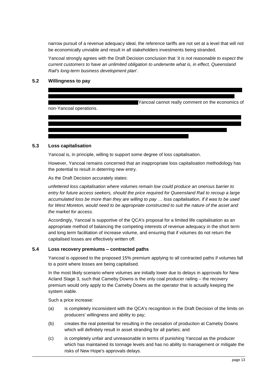narrow pursuit of a revenue adequacy ideal, the reference tariffs are not set at a level that will not be economically unviable and result in all stakeholders investments being stranded.

Yancoal strongly agrees with the Draft Decision conclusion that '*it is not reasonable to expect the current customers to have an unlimited obligation to underwrite what is, in effect, Queensland Rail's long-term business development plan*'.

## **5.2 Willingness to pay**



#### **5.3 Loss capitalisation**

Yancoal is, in principle, willing to support some degree of loss capitalisation.

However, Yancoal remains concerned that an inappropriate loss capitalisation methodology has the potential to result in deterring new entry.

As the Draft Decision accurately states:

*unfettered loss capitalisation where volumes remain low could produce an onerous barrier to entry for future access seekers, should the price required for Queensland Rail to recoup a large accumulated loss be more than they are willing to pay … loss capitalisation, if it was to be used for West Moreton, would need to be appropriate constructed to suit the nature of the asset and the market for access.*

Accordingly, Yancoal is supportive of the QCA's proposal for a limited life capitalisation as an appropriate method of balancing the competing interests of revenue adequacy in the short term and long term facilitation of increase volume, and ensuring that if volumes do not return the capitalised losses are effectively written off.

#### **5.4 Loss recovery premiums – contracted paths**

Yancoal is opposed to the proposed 15% premium applying to all contracted paths if volumes fall to a point where losses are being capitalised.

In the most likely scenario where volumes are initially lower due to delays in approvals for New Acland Stage 3, such that Cameby Downs is the only coal producer railing – the recovery premium would only apply to the Cameby Downs as the operator that is actually keeping the system viable.

Such a price increase:

- (a) is completely inconsistent with the QCA's recognition in the Draft Decision of the limits on producers' willingness and ability to pay;
- (b) creates the real potential for resulting in the cessation of production at Cameby Downs which will definitely result in asset stranding for all parties; and
- (c) is completely unfair and unreasonable in terms of punishing Yancoal as the producer which has maintained its tonnage levels and has no ability to management or mitigate the risks of New Hope's approvals delays.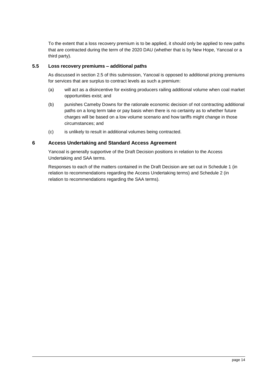To the extent that a loss recovery premium is to be applied, it should only be applied to new paths that are contracted during the term of the 2020 DAU (whether that is by New Hope, Yancoal or a third party).

## **5.5 Loss recovery premiums – additional paths**

As discussed in section [2.5](#page-3-0) of this submission, Yancoal is opposed to additional pricing premiums for services that are surplus to contract levels as such a premium:

- (a) will act as a disincentive for existing producers railing additional volume when coal market opportunities exist; and
- (b) punishes Cameby Downs for the rationale economic decision of not contracting additional paths on a long term take or pay basis when there is no certainty as to whether future charges will be based on a low volume scenario and how tariffs might change in those circumstances; and
- (c) is unlikely to result in additional volumes being contracted.

### **6 Access Undertaking and Standard Access Agreement**

Yancoal is generally supportive of the Draft Decision positions in relation to the Access Undertaking and SAA terms.

Responses to each of the matters contained in the Draft Decision are set out in Schedule 1 (in relation to recommendations regarding the Access Undertaking terms) and Schedule 2 (in relation to recommendations regarding the SAA terms).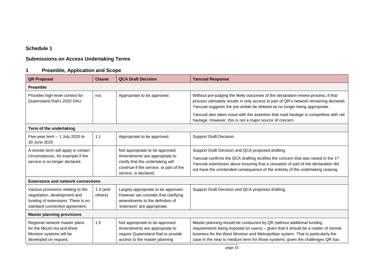# **Schedule 1**

# **Submissions on Access Undertaking Terms**

# **1 Preamble, Application and Scope**

| <b>QR Proposal</b>                                                                                                                         | <b>Clause</b>         | <b>QCA Draft Decision</b>                                                                                                                                                 | <b>Yancoal Response</b>                                                                                                                                                                                                                                                                                                         |
|--------------------------------------------------------------------------------------------------------------------------------------------|-----------------------|---------------------------------------------------------------------------------------------------------------------------------------------------------------------------|---------------------------------------------------------------------------------------------------------------------------------------------------------------------------------------------------------------------------------------------------------------------------------------------------------------------------------|
| <b>Preamble</b>                                                                                                                            |                       |                                                                                                                                                                           |                                                                                                                                                                                                                                                                                                                                 |
| Provides high-level context for<br>Queensland Rail's 2020 DAU                                                                              | n/a                   | Appropriate to be approved.                                                                                                                                               | Without pre-judging the likely outcomes of the declaration review process, if that<br>process ultimately results in only access to part of QR's network remaining declared,<br>Yancoal suggests the pre-amble be deleted as no longer being appropriate.                                                                        |
|                                                                                                                                            |                       |                                                                                                                                                                           | Yancoal also takes issue with the assertion that road haulage is competitive with rail<br>haulage. However, this is not a major source of concern.                                                                                                                                                                              |
| Term of the undertaking                                                                                                                    |                       |                                                                                                                                                                           |                                                                                                                                                                                                                                                                                                                                 |
| Five-year term $-1$ July 2020 to<br>30 June 2025                                                                                           | 1.1                   | Appropriate to be approved.                                                                                                                                               | Support Draft Decision.                                                                                                                                                                                                                                                                                                         |
| A shorter term will apply in certain<br>circumstances, for example if the<br>service is no longer declared.                                |                       | Not appropriate to be approved.<br>Amendments are appropriate to<br>clarify that the undertaking will<br>continue if the service, or part of the<br>service, is declared. | Support Draft Decision and QCA proposed drafting.<br>Yancoal confirms the QCA drafting rectifies the concern that was raised in the 1 <sup>st</sup><br>Yancoal submission about ensuring that a cessation of part of the declaration did<br>not have the unintended consequence of the entirety of the undertaking ceasing.     |
| <b>Extensions and network connections</b>                                                                                                  |                       |                                                                                                                                                                           |                                                                                                                                                                                                                                                                                                                                 |
| Various provisions relating to the<br>negotiation, development and<br>funding of extensions. There is no<br>standard connection agreement. | $1.4$ (and<br>others) | Largely appropriate to be approved.<br>However we consider that clarifying<br>amendments to the definition of<br>'extension' are appropriate.                             | Support Draft Decision and QCA proposed drafting.                                                                                                                                                                                                                                                                               |
| <b>Master planning provisions</b>                                                                                                          |                       |                                                                                                                                                                           |                                                                                                                                                                                                                                                                                                                                 |
| Regional network master plans<br>for the Mount Isa and West<br>Moreton systems will be<br>developed on request.                            | 1.5                   | Not appropriate to be approved.<br>Amendments are appropriate to<br>require Queensland Rail to provide<br>access to the master planning                                   | Master planning should be conducted by QR (without additional funding<br>requirements being imposed on users) - given that it should be a matter of normal<br>business for the West Moreton and Metropolitan system. That is particularly the<br>case in the near to medium term for those systems, given the challenges QR has |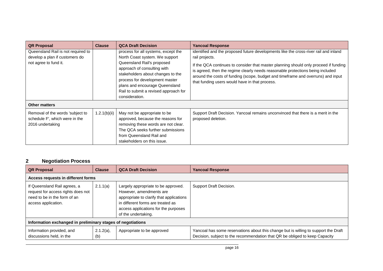| <b>QR Proposal</b>                                                                            | <b>Clause</b> | <b>QCA Draft Decision</b>                                                                                                                                                                                                                                                                              | <b>Yancoal Response</b>                                                                                                                                                                                                                                                                                                                                                                                                |
|-----------------------------------------------------------------------------------------------|---------------|--------------------------------------------------------------------------------------------------------------------------------------------------------------------------------------------------------------------------------------------------------------------------------------------------------|------------------------------------------------------------------------------------------------------------------------------------------------------------------------------------------------------------------------------------------------------------------------------------------------------------------------------------------------------------------------------------------------------------------------|
| Queensland Rail is not required to<br>develop a plan if customers do<br>not agree to fund it. |               | process for all systems, except the<br>North Coast system. We support<br>Queensland Rail's proposed<br>approach of consulting with<br>stakeholders about changes to the<br>process for development master<br>plans and encourage Queensland<br>Rail to submit a revised approach for<br>consideration. | identified and the proposed future developments like the cross-river rail and inland<br>rail projects.<br>If the QCA continues to consider that master planning should only proceed if funding<br>is agreed, then the regime clearly needs reasonable protections being included<br>around the costs of funding (scope, budget and timeframe and overruns) and input<br>that funding users would have in that process. |
| <b>Other matters</b>                                                                          |               |                                                                                                                                                                                                                                                                                                        |                                                                                                                                                                                                                                                                                                                                                                                                                        |
| Removal of the words 'subject to<br>schedule F', which were in the<br>2016 undertaking        | 1.2.1(b)(ii)  | May not be appropriate to be<br>approved, because the reasons for<br>removing these words are not clear.<br>The QCA seeks further submissions<br>from Queensland Rail and<br>stakeholders on this issue.                                                                                               | Support Draft Decision. Yancoal remains unconvinced that there is a merit in the<br>proposed deletion.                                                                                                                                                                                                                                                                                                                 |

# **2 Negotiation Process**

| <b>QR Proposal</b>                                                                                                        | <b>Clause</b>                      | <b>QCA Draft Decision</b>                                                                                                                                                                                      | <b>Yancoal Response</b>                                                                                                                                            |  |
|---------------------------------------------------------------------------------------------------------------------------|------------------------------------|----------------------------------------------------------------------------------------------------------------------------------------------------------------------------------------------------------------|--------------------------------------------------------------------------------------------------------------------------------------------------------------------|--|
|                                                                                                                           | Access requests in different forms |                                                                                                                                                                                                                |                                                                                                                                                                    |  |
| If Queensland Rail agrees, a<br>request for access rights does not<br>need to be in the form of an<br>access application. | 2.1.1(a)                           | Largely appropriate to be approved.<br>However, amendments are<br>appropriate to clarify that applications<br>in different forms are treated as<br>access applications for the purposes<br>of the undertaking. | Support Draft Decision.                                                                                                                                            |  |
| Information exchanged in preliminary stages of negotiations                                                               |                                    |                                                                                                                                                                                                                |                                                                                                                                                                    |  |
| Information provided, and<br>discussions held, in the                                                                     | $2.1.2(a)$ ,<br>(b)                | Appropriate to be approved                                                                                                                                                                                     | Yancoal has some reservations about this change but is willing to support the Draft<br>Decision, subject to the recommendation that QR be obliged to keep Capacity |  |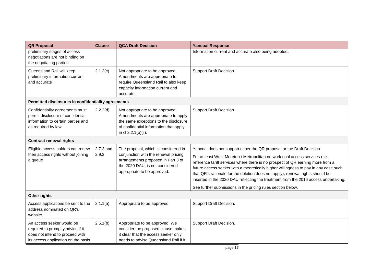| <b>QR Proposal</b>                                                                                                                       | <b>Clause</b>      | <b>QCA Draft Decision</b>                                                                                                                                                            | <b>Yancoal Response</b>                                                                                                                                                                                                                                                                                                                                                                                                                                                                                  |
|------------------------------------------------------------------------------------------------------------------------------------------|--------------------|--------------------------------------------------------------------------------------------------------------------------------------------------------------------------------------|----------------------------------------------------------------------------------------------------------------------------------------------------------------------------------------------------------------------------------------------------------------------------------------------------------------------------------------------------------------------------------------------------------------------------------------------------------------------------------------------------------|
| preliminary stages of access<br>negotiations are not binding on<br>the negotiating parties                                               |                    |                                                                                                                                                                                      | Information current and accurate also being adopted.                                                                                                                                                                                                                                                                                                                                                                                                                                                     |
| Queensland Rail will keep<br>preliminary information current<br>and accurate                                                             | 2.1.2(c)           | Not appropriate to be approved.<br>Amendments are appropriate to<br>require Queensland Rail to also keep<br>capacity information current and<br>accurate.                            | Support Draft Decision.                                                                                                                                                                                                                                                                                                                                                                                                                                                                                  |
| Permitted disclosures in confidentiality agreements                                                                                      |                    |                                                                                                                                                                                      |                                                                                                                                                                                                                                                                                                                                                                                                                                                                                                          |
| Confidentiality agreements must<br>permit disclosure of confidential<br>information to certain parties and<br>as required by law         | 2.2.2(d)           | Not appropriate to be approved.<br>Amendments are appropriate to apply<br>the same exceptions to the disclosure<br>of confidential information that apply<br>in cl 2.2.1(b)(ii).     | Support Draft Decision.                                                                                                                                                                                                                                                                                                                                                                                                                                                                                  |
| <b>Contract renewal rights</b>                                                                                                           |                    |                                                                                                                                                                                      |                                                                                                                                                                                                                                                                                                                                                                                                                                                                                                          |
| Eligible access holders can renew<br>their access rights without joining<br>a queue                                                      | 2.7.2 and<br>2.9.3 | The proposal, which is considered in<br>conjunction with the renewal pricing<br>arrangements proposed in Part 3 of<br>the 2020 DAU, is not considered<br>appropriate to be approved. | Yancoal does not support either the QR proposal or the Draft Decision.<br>For at least West Moreton / Metropolitan network coal access services (i.e.<br>reference tariff services where there is no prospect of QR earning more from a<br>future access seeker with a theoretically higher willingness to pay in any case such<br>that QR's rationale for the deletion does not apply), renewal rights should be<br>inserted in the 2020 DAU reflecting the treatment from the 2016 access undertaking. |
|                                                                                                                                          |                    |                                                                                                                                                                                      | See further submissions in the pricing rules section below.                                                                                                                                                                                                                                                                                                                                                                                                                                              |
| Other rights                                                                                                                             |                    |                                                                                                                                                                                      |                                                                                                                                                                                                                                                                                                                                                                                                                                                                                                          |
| Access applications be sent to the<br>address nominated on QR's<br>website                                                               | 2.1.1(a)           | Appropriate to be approved.                                                                                                                                                          | Support Draft Decision.                                                                                                                                                                                                                                                                                                                                                                                                                                                                                  |
| An access seeker would be<br>required to promptly advice if it<br>does not intend to proceed with<br>its access application on the basis | 2.5.1(b)           | Appropriate to be approved. We<br>consider the proposed clause makes<br>it clear that the access seeker only<br>needs to advise Queensland Rail if it                                | Support Draft Decision.                                                                                                                                                                                                                                                                                                                                                                                                                                                                                  |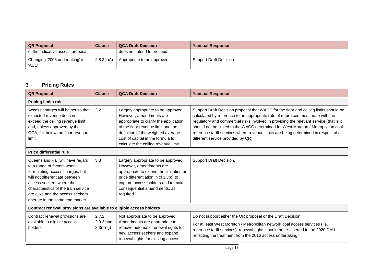| <b>QR Proposal</b>                      | <b>Clause</b>  | <b>QCA Draft Decision</b>   | <b>Yancoal Response</b> |
|-----------------------------------------|----------------|-----------------------------|-------------------------|
| of the indicative access proposal       |                | does not intend to proceed. |                         |
| Changing '2008 undertaking' to<br>'AU1' | $2.8.3(ii)$ A) | Appropriate to be approved. | Support Draft Decision  |

# **3 Pricing Rules**

| <b>QR Proposal</b>                                                                                                                                                                                                                                                            | <b>Clause</b>                       | <b>QCA Draft Decision</b>                                                                                                                                                                                                                                         | <b>Yancoal Response</b>                                                                                                                                                                                                                                                                                                                                                                                                                                                           |  |
|-------------------------------------------------------------------------------------------------------------------------------------------------------------------------------------------------------------------------------------------------------------------------------|-------------------------------------|-------------------------------------------------------------------------------------------------------------------------------------------------------------------------------------------------------------------------------------------------------------------|-----------------------------------------------------------------------------------------------------------------------------------------------------------------------------------------------------------------------------------------------------------------------------------------------------------------------------------------------------------------------------------------------------------------------------------------------------------------------------------|--|
| <b>Pricing limits rule</b>                                                                                                                                                                                                                                                    |                                     |                                                                                                                                                                                                                                                                   |                                                                                                                                                                                                                                                                                                                                                                                                                                                                                   |  |
| Access charges will be set so that<br>expected revenue does not<br>exceed the ceiling revenue limit<br>and, unless approved by the<br>QCA, fall below the floor revenue<br>limit                                                                                              | 3.2                                 | Largely appropriate to be approved.<br>However, amendments are<br>appropriate to clarify the application<br>of the floor revenue limit and the<br>definition of the weighted average<br>cost of capital in the formula to<br>calculate the ceiling revenue limit. | Support Draft Decision proposal that WACC for the floor and ceiling limits should be<br>calculated by reference to an appropriate rate of return commensurate with the<br>regulatory and commercial risks involved in providing the relevant service (that is it<br>should not be linked to the WACC determined for West Moreton / Metropolitan coal<br>reference tariff services where revenue limits are being determined in respect of a<br>different service provided by QR). |  |
| Price differential rule                                                                                                                                                                                                                                                       |                                     |                                                                                                                                                                                                                                                                   |                                                                                                                                                                                                                                                                                                                                                                                                                                                                                   |  |
| Queensland Rail will have regard<br>to a range of factors when<br>formulating access charges, but<br>will not differentiate between<br>access seekers where the<br>characteristics of the train service<br>are alike and the access seekers<br>operate in the same end market | 3.3                                 | Largely appropriate to be approved.<br>However, amendments are<br>appropriate to extend the limitation on<br>price differentiation in cl 3.3(d) to<br>capture access holders and to make<br>consequential amendments, as<br>required.                             | Support Draft Decision.                                                                                                                                                                                                                                                                                                                                                                                                                                                           |  |
| Contract renewal provisions are available to eligible access holders                                                                                                                                                                                                          |                                     |                                                                                                                                                                                                                                                                   |                                                                                                                                                                                                                                                                                                                                                                                                                                                                                   |  |
| Contract renewal provisions are<br>available to eligible access<br>holders                                                                                                                                                                                                    | 2.7.2,<br>2.9.3 and<br>$3.3(h)-(j)$ | Not appropriate to be approved.<br>Amendments are appropriate to<br>remove automatic renewal rights for<br>new access seekers and expand<br>renewal rights for existing access                                                                                    | Do not support either the QR proposal or the Draft Decision.<br>For at least West Moreton / Metropolitan network coal access services (i.e.<br>reference tariff services), renewal rights should be re-inserted in the 2020 DAU<br>reflecting the treatment from the 2016 access undertaking.                                                                                                                                                                                     |  |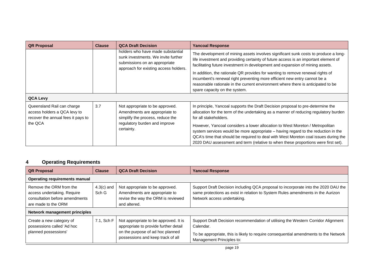| <b>QR Proposal</b>                                                                                          | <b>Clause</b> | <b>QCA Draft Decision</b>                                                                                                                           | <b>Yancoal Response</b>                                                                                                                                                                                                                                                                                                                                                                                                                                                                                                                           |
|-------------------------------------------------------------------------------------------------------------|---------------|-----------------------------------------------------------------------------------------------------------------------------------------------------|---------------------------------------------------------------------------------------------------------------------------------------------------------------------------------------------------------------------------------------------------------------------------------------------------------------------------------------------------------------------------------------------------------------------------------------------------------------------------------------------------------------------------------------------------|
|                                                                                                             |               | holders who have made substantial<br>sunk investments. We invite further<br>submissions on an appropriate<br>approach for existing access holders.  | The development of mining assets involves significant sunk costs to produce a long-<br>life investment and providing certainty of future access is an important element of<br>facilitating future investment in development and expansion of mining assets.<br>In addition, the rationale QR provides for wanting to remove renewal rights of<br>incumbent's renewal right preventing more efficient new entry cannot be a<br>reasonable rationale in the current environment where there is anticipated to be<br>spare capacity on the system.   |
| <b>QCA Levy</b>                                                                                             |               |                                                                                                                                                     |                                                                                                                                                                                                                                                                                                                                                                                                                                                                                                                                                   |
| Queensland Rail can charge<br>access holders a QCA levy to<br>recover the annual fees it pays to<br>the QCA | 3.7           | Not appropriate to be approved.<br>Amendments are appropriate to<br>simplify the process, reduce the<br>regulatory burden and improve<br>certainty. | In principle, Yancoal supports the Draft Decision proposal to pre-determine the<br>allocation for the term of the undertaking as a manner of reducing regulatory burden<br>for all stakeholders.<br>However, Yancoal considers a lower allocation to West Moreton / Metropolitan<br>system services would be more appropriate - having regard to the reduction in the<br>QCA's time that should be required to deal with West Moreton coal issues during the<br>2020 DAU assessment and term (relative to when these proportions were first set). |

# **4 Operating Requirements**

| <b>QR Proposal</b>                                                                                              | <b>Clause</b>         | <b>QCA Draft Decision</b>                                                                                                                               | <b>Yancoal Response</b>                                                                                                                                                                                             |
|-----------------------------------------------------------------------------------------------------------------|-----------------------|---------------------------------------------------------------------------------------------------------------------------------------------------------|---------------------------------------------------------------------------------------------------------------------------------------------------------------------------------------------------------------------|
| <b>Operating requirements manual</b>                                                                            |                       |                                                                                                                                                         |                                                                                                                                                                                                                     |
| Remove the ORM from the<br>access undertaking. Require<br>consultation before amendments<br>are made to the ORM | $4.3(c)$ and<br>Sch G | Not appropriate to be approved.<br>Amendments are appropriate to<br>revise the way the ORM is reviewed<br>and altered.                                  | Support Draft Decision including QCA proposal to incorporate into the 2020 DAU the<br>same protections as exist in relation to System Rules amendments in the Aurizon<br>Network access undertaking.                |
| <b>Network management principles</b>                                                                            |                       |                                                                                                                                                         |                                                                                                                                                                                                                     |
| Create a new category of<br>possessions called 'Ad hoc<br>planned possessions'                                  | 7.1, Sch F            | Not appropriate to be approved. It is<br>appropriate to provide further detail<br>on the purpose of ad hoc planned<br>possessions and keep track of all | Support Draft Decision recommendation of utilising the Western Corridor Alignment<br>Calendar.<br>To be appropriate, this is likely to require consequential amendments to the Network<br>Management Principles to: |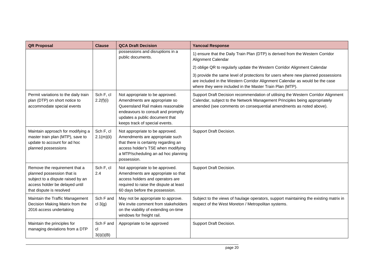| <b>QR Proposal</b>                                                                                                                                             | <b>Clause</b>                 | <b>QCA Draft Decision</b>                                                                                                                                                                                      | <b>Yancoal Response</b>                                                                                                                                                                                                               |
|----------------------------------------------------------------------------------------------------------------------------------------------------------------|-------------------------------|----------------------------------------------------------------------------------------------------------------------------------------------------------------------------------------------------------------|---------------------------------------------------------------------------------------------------------------------------------------------------------------------------------------------------------------------------------------|
|                                                                                                                                                                |                               | possessions and disruptions in a<br>public documents.                                                                                                                                                          | 1) ensure that the Daily Train Plan (DTP) is derived from the Western Corridor<br>Alignment Calendar                                                                                                                                  |
|                                                                                                                                                                |                               |                                                                                                                                                                                                                | 2) oblige QR to regularly update the Western Corridor Alignment Calendar                                                                                                                                                              |
|                                                                                                                                                                |                               |                                                                                                                                                                                                                | 3) provide the same level of protections for users where new planned possessions<br>are included in the Western Corridor Alignment Calendar as would be the case<br>where they were included in the Master Train Plan (MTP).          |
| Permit variations to the daily train<br>plan (DTP) on short notice to<br>accommodate special events                                                            | Sch F, cl<br>2.2(f)(i)        | Not appropriate to be approved.<br>Amendments are appropriate so<br>Queensland Rail makes reasonable<br>endeavours to consult and promptly<br>updates a public document that<br>keeps track of special events. | Support Draft Decision recommendation of utilising the Western Corridor Alignment<br>Calendar, subject to the Network Management Principles being appropriately<br>amended (see comments on consequential amendments as noted above). |
| Maintain approach for modifying a<br>master train plan (MTP), save to<br>update to account for ad hoc<br>planned possessions                                   | Sch F, cl<br>2.1(m)(ii)       | Not appropriate to be approved.<br>Amendments are appropriate such<br>that there is certainty regarding an<br>access holder's TSE when modifying<br>a MTP/scheduling an ad hoc planning<br>possession.         | Support Draft Decision.                                                                                                                                                                                                               |
| Remove the requirement that a<br>planned possession that is<br>subject to a dispute raised by an<br>access holder be delayed until<br>that dispute is resolved | Sch F, cl<br>2.4              | Not appropriate to be approved.<br>Amendments are appropriate so that<br>access holders and operators are<br>required to raise the dispute at least<br>60 days before the possession.                          | Support Draft Decision.                                                                                                                                                                                                               |
| Maintain the Traffic Management<br>Decision Making Matrix from the<br>2016 access undertaking                                                                  | Sch F and<br>cl $3(g)$        | May not be appropriate to approve.<br>We invite comment from stakeholders<br>on the viability of extending on-time<br>windows for freight rail.                                                                | Subject to the views of haulage operators, support maintaining the existing matrix in<br>respect of the West Moreton / Metropolitan systems.                                                                                          |
| Maintain the principles for<br>managing deviations from a DTP                                                                                                  | Sch F and<br>cl<br>3(i)(i)(B) | Appropriate to be approved                                                                                                                                                                                     | Support Draft Decision.                                                                                                                                                                                                               |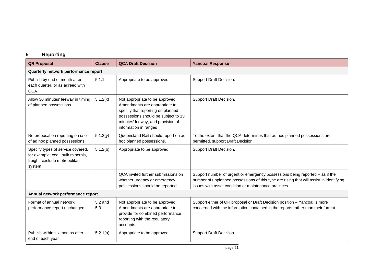# **5 Reporting**

| <b>QR Proposal</b>                                                                                                | <b>Clause</b>  | <b>QCA Draft Decision</b>                                                                                                                                                                                  | <b>Yancoal Response</b>                                                                                                                                                                                                          |
|-------------------------------------------------------------------------------------------------------------------|----------------|------------------------------------------------------------------------------------------------------------------------------------------------------------------------------------------------------------|----------------------------------------------------------------------------------------------------------------------------------------------------------------------------------------------------------------------------------|
| Quarterly network performance report                                                                              |                |                                                                                                                                                                                                            |                                                                                                                                                                                                                                  |
| Publish by end of month after<br>each quarter, or as agreed with<br>QCA                                           | 5.1.1          | Appropriate to be approved.                                                                                                                                                                                | Support Draft Decision.                                                                                                                                                                                                          |
| Allow 30 minutes' leeway in timing<br>of planned possessions                                                      | 5.1.2(x)       | Not appropriate to be approved.<br>Amendments are appropriate to<br>specify that reporting on planned<br>possessions should be subject to 15<br>minutes' leeway, and provision of<br>information in ranges | Support Draft Decision.                                                                                                                                                                                                          |
| No proposal on reporting on use<br>of ad hoc planned possessions                                                  | 5.1.2(y)       | Queensland Rail should report on ad<br>hoc planned possessions.                                                                                                                                            | To the extent that the QCA determines that ad hoc planned possessions are<br>permitted, support Draft Decision.                                                                                                                  |
| Specify types of service covered,<br>for example: coal, bulk minerals,<br>freight; exclude metropolitan<br>system | 5.1.2(b)       | Appropriate to be approved.                                                                                                                                                                                | Support Draft Decision.                                                                                                                                                                                                          |
|                                                                                                                   |                | QCA invited further submissions on<br>whether urgency or emergency<br>possessions should be reported.                                                                                                      | Support number of urgent or emergency possessions being reported - as if the<br>number of unplanned possessions of this type are rising that will assist in identifying<br>issues with asset condition or maintenance practices. |
| Annual network performance report                                                                                 |                |                                                                                                                                                                                                            |                                                                                                                                                                                                                                  |
| Format of annual network<br>performance report unchanged                                                          | 5.2 and<br>5.3 | Not appropriate to be approved.<br>Amendments are appropriate to<br>provide for combined performance<br>reporting with the regulatory<br>accounts.                                                         | Support either of QR proposal or Draft Decision position - Yancoal is more<br>concerned with the information contained in the reports rather than their format.                                                                  |
| Publish within six months after<br>end of each year                                                               | 5.2.1(a)       | Appropriate to be approved.                                                                                                                                                                                | Support Draft Decision.                                                                                                                                                                                                          |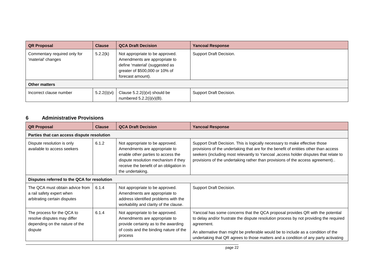| <b>QR Proposal</b>                                 | <b>Clause</b> | <b>QCA Draft Decision</b>                                                                                                                                  | <b>Yancoal Response</b> |
|----------------------------------------------------|---------------|------------------------------------------------------------------------------------------------------------------------------------------------------------|-------------------------|
| Commentary required only for<br>'material' changes | 5.2.2(k)      | Not appropriate to be approved.<br>Amendments are appropriate to<br>define 'material' (suggested as<br>greater of \$500,000 or 10% of<br>forecast amount). | Support Draft Decision. |
| <b>Other matters</b>                               |               |                                                                                                                                                            |                         |
| Incorrect clause number                            | 5.2.2(i)(vi)  | Clause $5.2.2(i)(vi)$ should be<br>numbered $5.2.2(i)(v)(B)$ .                                                                                             | Support Draft Decision. |

# **6 Administrative Provisions**

| <b>QR Proposal</b>                                                                                     | <b>Clause</b> | <b>QCA Draft Decision</b>                                                                                                                                                                                     | <b>Yancoal Response</b>                                                                                                                                                                                                                                                                                                                                            |  |  |  |  |
|--------------------------------------------------------------------------------------------------------|---------------|---------------------------------------------------------------------------------------------------------------------------------------------------------------------------------------------------------------|--------------------------------------------------------------------------------------------------------------------------------------------------------------------------------------------------------------------------------------------------------------------------------------------------------------------------------------------------------------------|--|--|--|--|
| Parties that can access dispute resolution                                                             |               |                                                                                                                                                                                                               |                                                                                                                                                                                                                                                                                                                                                                    |  |  |  |  |
| Dispute resolution is only<br>available to access seekers                                              | 6.1.2         | Not appropriate to be approved.<br>Amendments are appropriate to<br>enable other parties to access the<br>dispute resolution mechanism if they<br>receive the benefit of an obligation in<br>the undertaking. | Support Draft Decision. This is logically necessary to make effective those<br>provisions of the undertaking that are for the benefit of entities other than access<br>seekers (including most relevantly to Yancoal , access holder disputes that relate to<br>provisions of the undertaking rather than provisions of the access agreement)                      |  |  |  |  |
| Disputes referred to the QCA for resolution                                                            |               |                                                                                                                                                                                                               |                                                                                                                                                                                                                                                                                                                                                                    |  |  |  |  |
| The QCA must obtain advice from<br>a rail safety expert when<br>arbitrating certain disputes           | 6.1.4         | Not appropriate to be approved.<br>Amendments are appropriate to<br>address identified problems with the<br>workability and clarity of the clause.                                                            | Support Draft Decision.                                                                                                                                                                                                                                                                                                                                            |  |  |  |  |
| The process for the QCA to<br>resolve disputes may differ<br>depending on the nature of the<br>dispute | 6.1.4         | Not appropriate to be approved.<br>Amendments are appropriate to<br>provide certainty as to the awarding<br>of costs and the binding nature of the<br>process                                                 | Yancoal has some concerns that the QCA proposal provides QR with the potential<br>to delay and/or frustrate the dispute resolution process by not providing the required<br>agreement.<br>An alternative than might be preferable would be to include as a condition of the<br>undertaking that QR agrees to those matters and a condition of any party activating |  |  |  |  |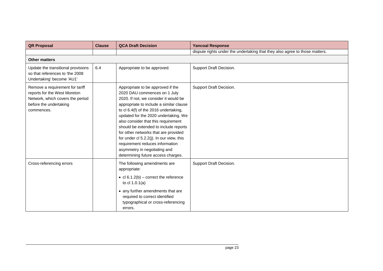| <b>QR Proposal</b>                                                                                                                          | <b>Clause</b> | <b>QCA Draft Decision</b>                                                                                                                                                                                                                                                                                                                                                                                                                                                                                           | <b>Yancoal Response</b>                                                     |
|---------------------------------------------------------------------------------------------------------------------------------------------|---------------|---------------------------------------------------------------------------------------------------------------------------------------------------------------------------------------------------------------------------------------------------------------------------------------------------------------------------------------------------------------------------------------------------------------------------------------------------------------------------------------------------------------------|-----------------------------------------------------------------------------|
|                                                                                                                                             |               |                                                                                                                                                                                                                                                                                                                                                                                                                                                                                                                     | dispute rights under the undertaking that they also agree to those matters. |
| <b>Other matters</b>                                                                                                                        |               |                                                                                                                                                                                                                                                                                                                                                                                                                                                                                                                     |                                                                             |
| Update the transitional provisions<br>so that references to 'the 2008<br>Undertaking' become 'AU1'                                          | 6.4           | Appropriate to be approved.                                                                                                                                                                                                                                                                                                                                                                                                                                                                                         | Support Draft Decision.                                                     |
| Remove a requirement for tariff<br>reports for the West Moreton<br>Network, which covers the period<br>before the undertaking<br>commences. |               | Appropriate to be approved if the<br>2020 DAU commences on 1 July<br>2020. If not, we consider it would be<br>appropriate to include a similar clause<br>to cl 6.4(f) of the 2016 undertaking,<br>updated for the 2020 undertaking. We<br>also consider that this requirement<br>should be extended to include reports<br>for other networks that are provided<br>for under cl 5.2.2(j). In our view, this<br>requirement reduces information<br>asymmetry in negotiating and<br>determining future access charges. | Support Draft Decision.                                                     |
| Cross-referencing errors                                                                                                                    |               | The following amendments are<br>appropriate:<br>• $cl 6.1.2(b)$ – correct the reference<br>to cl $1.0.1(a)$<br>• any further amendments that are<br>required to correct identified<br>typographical or cross-referencing<br>errors.                                                                                                                                                                                                                                                                                 | Support Draft Decision.                                                     |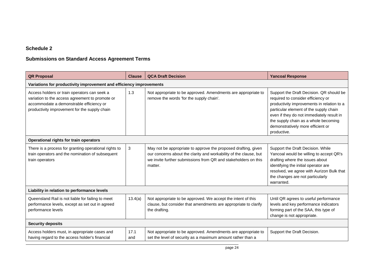# **Schedule 2**

# **Submissions on Standard Access Agreement Terms**

| <b>QR Proposal</b>                                                                                                                                                                           | <b>Clause</b>                                                       | <b>QCA Draft Decision</b>                                                                                                                                                                                        | <b>Yancoal Response</b>                                                                                                                                                                                                                                                                                         |  |  |  |
|----------------------------------------------------------------------------------------------------------------------------------------------------------------------------------------------|---------------------------------------------------------------------|------------------------------------------------------------------------------------------------------------------------------------------------------------------------------------------------------------------|-----------------------------------------------------------------------------------------------------------------------------------------------------------------------------------------------------------------------------------------------------------------------------------------------------------------|--|--|--|
|                                                                                                                                                                                              | Variations for productivity improvement and efficiency improvements |                                                                                                                                                                                                                  |                                                                                                                                                                                                                                                                                                                 |  |  |  |
| Access holders or train operators can seek a<br>variation to the access agreement to promote or<br>accommodate a demonstrable efficiency or<br>productivity improvement for the supply chain | 1.3                                                                 | Not appropriate to be approved. Amendments are appropriate to<br>remove the words 'for the supply chain'.                                                                                                        | Support the Draft Decision. QR should be<br>required to consider efficiency or<br>productivity improvements in relation to a<br>particular element of the supply chain<br>even if they do not immediately result in<br>the supply chain as a whole becoming<br>demonstratively more efficient or<br>productive. |  |  |  |
| Operational rights for train operators                                                                                                                                                       |                                                                     |                                                                                                                                                                                                                  |                                                                                                                                                                                                                                                                                                                 |  |  |  |
| There is a process for granting operational rights to<br>train operators and the nomination of subsequent<br>train operators                                                                 | 3                                                                   | May not be appropriate to approve the proposed drafting, given<br>our concerns about the clarity and workability of the clause, but<br>we invite further submissions from QR and stakeholders on this<br>matter. | Support the Draft Decision. While<br>Yancoal would be willing to accept QR's<br>drafting where the issues about<br>identifying the initial operator are<br>resolved, we agree with Aurizon Bulk that<br>the changes are not particularly<br>warranted.                                                          |  |  |  |
| Liability in relation to performance levels                                                                                                                                                  |                                                                     |                                                                                                                                                                                                                  |                                                                                                                                                                                                                                                                                                                 |  |  |  |
| Queensland Rail is not liable for failing to meet<br>performance levels, except as set out in agreed<br>performance levels                                                                   | 13.4(a)                                                             | Not appropriate to be approved. We accept the intent of this<br>clause, but consider that amendments are appropriate to clarify<br>the drafting.                                                                 | Until QR agrees to useful performance<br>levels and key performance indicators<br>forming part of the SAA, this type of<br>change is not appropriate.                                                                                                                                                           |  |  |  |
| <b>Security deposits</b>                                                                                                                                                                     |                                                                     |                                                                                                                                                                                                                  |                                                                                                                                                                                                                                                                                                                 |  |  |  |
| Access holders must, in appropriate cases and<br>having regard to the access holder's financial                                                                                              | 17.1<br>and                                                         | Not appropriate to be approved. Amendments are appropriate to<br>set the level of security as a maximum amount rather than a                                                                                     | Support the Draft Decision.                                                                                                                                                                                                                                                                                     |  |  |  |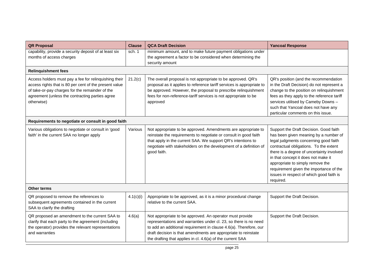| <b>QR Proposal</b>                                                                                                                                                                                                                  | <b>Clause</b> | <b>QCA Draft Decision</b>                                                                                                                                                                                                                                                                                                         | <b>Yancoal Response</b>                                                                                                                                                                                                                                                                                                                                                                        |
|-------------------------------------------------------------------------------------------------------------------------------------------------------------------------------------------------------------------------------------|---------------|-----------------------------------------------------------------------------------------------------------------------------------------------------------------------------------------------------------------------------------------------------------------------------------------------------------------------------------|------------------------------------------------------------------------------------------------------------------------------------------------------------------------------------------------------------------------------------------------------------------------------------------------------------------------------------------------------------------------------------------------|
| capability, provide a security deposit of at least six<br>months of access charges                                                                                                                                                  | sch. 1        | minimum amount, and to make future payment obligations under<br>the agreement a factor to be considered when determining the<br>security amount                                                                                                                                                                                   |                                                                                                                                                                                                                                                                                                                                                                                                |
| <b>Relinquishment fees</b>                                                                                                                                                                                                          |               |                                                                                                                                                                                                                                                                                                                                   |                                                                                                                                                                                                                                                                                                                                                                                                |
| Access holders must pay a fee for relinquishing their<br>access rights that is 80 per cent of the present value<br>of take-or-pay charges for the remainder of the<br>agreement (unless the contracting parties agree<br>otherwise) | 21.2(c)       | The overall proposal is not appropriate to be approved. QR's<br>proposal as it applies to reference tariff services is appropriate to<br>be approved. However, the proposal to prescribe relinquishment<br>fees for non-reference-tariff services is not appropriate to be<br>approved                                            | QR's position (and the recommendation<br>in the Draft Decision) do not represent a<br>change to the position on relinquishment<br>fees as they apply to the reference tariff<br>services utilised by Cameby Downs -<br>such that Yancoal does not have any<br>particular comments on this issue.                                                                                               |
| Requirements to negotiate or consult in good faith                                                                                                                                                                                  |               |                                                                                                                                                                                                                                                                                                                                   |                                                                                                                                                                                                                                                                                                                                                                                                |
| Various obligations to negotiate or consult in 'good<br>faith' in the current SAA no longer apply                                                                                                                                   | Various       | Not appropriate to be approved. Amendments are appropriate to<br>reinstate the requirements to negotiate or consult in good faith<br>that apply in the current SAA. We support QR's intentions to<br>negotiate with stakeholders on the development of a definition of<br>good faith.                                             | Support the Draft Decision. Good faith<br>has been given meaning by a number of<br>legal judgments concerning good faith<br>contractual obligations. To the extent<br>there is a degree of uncertainty involved<br>in that concept it does not make it<br>appropriate to simply remove the<br>requirement given the importance of the<br>issues in respect of which good faith is<br>required. |
| <b>Other terms</b>                                                                                                                                                                                                                  |               |                                                                                                                                                                                                                                                                                                                                   |                                                                                                                                                                                                                                                                                                                                                                                                |
| QR proposed to remove the references to<br>subsequent agreements contained in the current<br>SAA to clarify the drafting                                                                                                            | 4.1(c)(i)     | Appropriate to be approved, as it is a minor procedural change<br>relative to the current SAA.                                                                                                                                                                                                                                    | Support the Draft Decision.                                                                                                                                                                                                                                                                                                                                                                    |
| QR proposed an amendment to the current SAA to<br>clarify that each party to the agreement (including<br>the operator) provides the relevant representations<br>and warranties                                                      | 4.6(a)        | Not appropriate to be approved. An operator must provide<br>representations and warranties under cl. 23, so there is no need<br>to add an additional requirement in clause 4.6(a). Therefore, our<br>draft decision is that amendments are appropriate to reinstate<br>the drafting that applies in cl. 4.6(a) of the current SAA | Support the Draft Decision.                                                                                                                                                                                                                                                                                                                                                                    |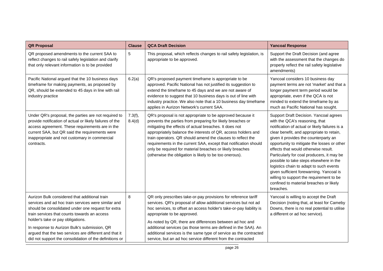| <b>QR Proposal</b>                                                                                                                                                                                                                                                                                                                                                                                                   | <b>Clause</b>     | <b>QCA Draft Decision</b>                                                                                                                                                                                                                                                                                                                                                                                                                                                                                      | <b>Yancoal Response</b>                                                                                                                                                                                                                                                                                                                                                                                                                                                                                                                                                                     |
|----------------------------------------------------------------------------------------------------------------------------------------------------------------------------------------------------------------------------------------------------------------------------------------------------------------------------------------------------------------------------------------------------------------------|-------------------|----------------------------------------------------------------------------------------------------------------------------------------------------------------------------------------------------------------------------------------------------------------------------------------------------------------------------------------------------------------------------------------------------------------------------------------------------------------------------------------------------------------|---------------------------------------------------------------------------------------------------------------------------------------------------------------------------------------------------------------------------------------------------------------------------------------------------------------------------------------------------------------------------------------------------------------------------------------------------------------------------------------------------------------------------------------------------------------------------------------------|
| QR proposed amendments to the current SAA to<br>reflect changes to rail safely legislation and clarify<br>that only relevant information is to be provided                                                                                                                                                                                                                                                           | 5                 | This proposal, which reflects changes to rail safety legislation, is<br>appropriate to be approved.                                                                                                                                                                                                                                                                                                                                                                                                            | Support the Draft Decision (and agree<br>with the assessment that the changes do<br>properly reflect the rail safety legislative<br>amendments)                                                                                                                                                                                                                                                                                                                                                                                                                                             |
| Pacific National argued that the 10 business days<br>timeframe for making payments, as proposed by<br>QR, should be extended to 45 days in line with rail<br>industry practice                                                                                                                                                                                                                                       | 6.2(a)            | QR's proposed payment timeframe is appropriate to be<br>approved. Pacific National has not justified its suggestion to<br>extend the timeframe to 45 days and we are not aware of<br>evidence to suggest that 10 business days is out of line with<br>industry practice. We also note that a 10 business day timeframe<br>applies in Aurizon Network's current SAA.                                                                                                                                            | Yancoal considers 10 business day<br>payment terms are not 'market' and that a<br>longer payment term period would be<br>appropriate, even if the QCA is not<br>minded to extend the timeframe by as<br>much as Pacific National has sought.                                                                                                                                                                                                                                                                                                                                                |
| Under QR's proposal, the parties are not required to<br>provide notification of actual or likely failures of the<br>access agreement. These requirements are in the<br>current SAA, but QR said the requirements were<br>inappropriate and not customary in commercial<br>contracts.                                                                                                                                 | 7.3(f),<br>8.4(d) | QR's proposal is not appropriate to be approved because it<br>prevents the parties from preparing for likely breaches or<br>mitigating the effects of actual breaches. It does not<br>appropriately balance the interests of QR, access holders and<br>train operators. QR should amend the clauses to reflect the<br>requirements in the current SAA, except that notification should<br>only be required for material breaches or likely breaches<br>(otherwise the obligation is likely to be too onerous). | Support Draft Decision. Yancoal agrees<br>with the QCA's reasoning, that<br>notification of actual or likely failures is a<br>clear benefit, and appropriate to retain,<br>given it provides the counterparty an<br>opportunity to mitigate the losses or other<br>effects that would otherwise result.<br>Particularly for coal producers, it may be<br>possible to take steps elsewhere in the<br>logistics chain to adapt to such events<br>given sufficient forewarning. Yancoal is<br>willing to support the requirement to be<br>confined to material breaches or likely<br>breaches. |
| Aurizon Bulk considered that additional train<br>services and ad hoc train services were similar and<br>should be consolidated under one request for extra<br>train services that counts towards an access<br>holder's take or pay obligations.<br>In response to Aurizon Bulk's submission, QR<br>argued that the two services are different and that it<br>did not support the consolidation of the definitions or | 8                 | QR only prescribes take-or-pay provisions for reference tariff<br>services. QR's proposal of allow additional services but not ad<br>hoc services, to offset an access holder's take-or-pay liability is<br>appropriate to be approved.<br>As noted by QR, there are differences between ad hoc and<br>additional services (as those terms are defined in the SAA). An<br>additional services is the same type of service as the contracted<br>service, but an ad hoc service different from the contracted    | Yancoal is willing to accept the Draft<br>Decision (noting that, at least for Cameby<br>Downs, there is no real potential to utilise<br>a different or ad hoc service).                                                                                                                                                                                                                                                                                                                                                                                                                     |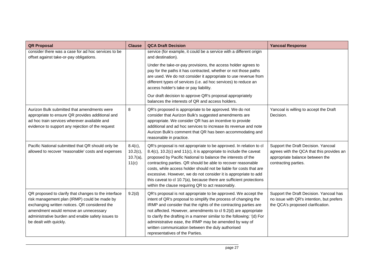| <b>QR Proposal</b>                                                                                                                                                                                                                                                            | <b>Clause</b>                                     | <b>QCA Draft Decision</b>                                                                                                                                                                                                                                                                                                                                                                                                                                                                                                                     | <b>Yancoal Response</b>                                                                                                                     |
|-------------------------------------------------------------------------------------------------------------------------------------------------------------------------------------------------------------------------------------------------------------------------------|---------------------------------------------------|-----------------------------------------------------------------------------------------------------------------------------------------------------------------------------------------------------------------------------------------------------------------------------------------------------------------------------------------------------------------------------------------------------------------------------------------------------------------------------------------------------------------------------------------------|---------------------------------------------------------------------------------------------------------------------------------------------|
| consider there was a case for ad hoc services to be<br>offset against take-or-pay obligations.                                                                                                                                                                                |                                                   | service (for example, it could be a service with a different origin<br>and destination).                                                                                                                                                                                                                                                                                                                                                                                                                                                      |                                                                                                                                             |
|                                                                                                                                                                                                                                                                               |                                                   | Under the take-or-pay provisions, the access holder agrees to<br>pay for the paths it has contracted, whether or not those paths<br>are used. We do not consider it appropriate to use revenue from<br>different types of services (i.e. ad hoc services) to reduce an<br>access holder's take or pay liability.                                                                                                                                                                                                                              |                                                                                                                                             |
|                                                                                                                                                                                                                                                                               |                                                   | Our draft decision to approve QR's proposal appropriately<br>balances the interests of QR and access holders.                                                                                                                                                                                                                                                                                                                                                                                                                                 |                                                                                                                                             |
| Aurizon Bulk submitted that amendments were<br>appropriate to ensure QR provides additional and<br>ad hoc train services wherever available and<br>evidence to support any rejection of the request                                                                           | 8                                                 | QR's proposed is appropriate to be approved. We do not<br>consider that Aurizon Bulk's suggested amendments are<br>appropriate. We consider QR has an incentive to provide<br>additional and ad hoc services to increase its revenue and note<br>Aurizon Bulk's comment that QR has been accommodating and<br>reasonable in practice.                                                                                                                                                                                                         | Yancoal is willing to accept the Draft<br>Decision.                                                                                         |
| Pacific National submitted that QR should only be<br>allowed to recover 'reasonable' costs and expenses                                                                                                                                                                       | $8.4(c)$ ,<br>$10.2(c)$ ,<br>$10.7(a)$ ,<br>11(c) | QR's proposal is not appropriate to be approved. In relation to cl<br>8.4(c), 10.2(c) and 11(c), it is appropriate to include the caveat<br>proposed by Pacific National to balance the interests of the<br>contracting parties. QR should be able to recover reasonable<br>costs, while access holder should not be liable for costs that are<br>excessive. However, we do not consider it is appropriate to add<br>this caveat to cl 10.7(a), because there are sufficient protections<br>within the clause requiring QR to act reasonably. | Support the Draft Decision. Yancoal<br>agrees with the QCA that this provides an<br>appropriate balance between the<br>contracting parties. |
| QR proposed to clarify that changes to the interface<br>risk management plan (IRMP) could be made by<br>exchanging written notices. QR considered the<br>amendment would remove an unnecessary<br>administrative burden and enable safety issues to<br>be dealt with quickly. | 9.2(d)                                            | QR's proposal is not appropriate to be approved. We accept the<br>intent of QR's proposal to simplify the process of changing the<br>IRMP and consider that the rights of the contracting parties are<br>not affected. However, amendments to cl 9.2(d) are appropriate<br>to clarify the drafting in a manner similar to the following: '(d) For<br>administrative ease, the IRMP may be amended by way of<br>written communication between the duly authorised<br>representatives of the Parties.                                           | Support the Draft Decision. Yancoal has<br>no issue with QR's intention, but prefers<br>the QCA's proposed clarification.                   |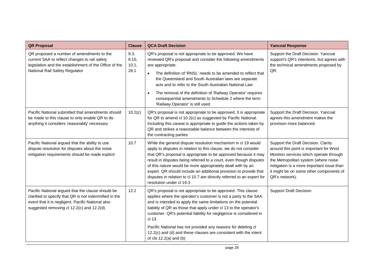| <b>QR Proposal</b>                                                                                                                                                                                            | <b>Clause</b>                  | <b>QCA Draft Decision</b>                                                                                                                                                                                                                                                                                                                                                                                                                                                                                              | <b>Yancoal Response</b>                                                                                                                                                                                                                                                    |
|---------------------------------------------------------------------------------------------------------------------------------------------------------------------------------------------------------------|--------------------------------|------------------------------------------------------------------------------------------------------------------------------------------------------------------------------------------------------------------------------------------------------------------------------------------------------------------------------------------------------------------------------------------------------------------------------------------------------------------------------------------------------------------------|----------------------------------------------------------------------------------------------------------------------------------------------------------------------------------------------------------------------------------------------------------------------------|
| QR proposed a number of amendments to the<br>current SAA to reflect changes to rail safety<br>legislation and the establishment of the Office of the<br>National Rail Safety Regulator                        | 9.3,<br>9.10,<br>10.1,<br>28.1 | QR's proposal is not appropriate to be approved. We have<br>reviewed QR's proposal and consider the following amendments<br>are appropriate:<br>The definition of 'RNSL' needs to be amended to reflect that<br>$\bullet$<br>the Queensland and South Australian laws are separate<br>acts and to refer to the South Australian National Law<br>The removal of the definition of 'Railway Operator' requires<br>$\bullet$<br>consequential amendments to Schedule 2 where the term<br>'Railway Operator' is still used | Support the Draft Decision. Yancoal<br>support's QR's intentions, but agrees with<br>the technical amendments proposed by<br>QR.                                                                                                                                           |
| Pacific National submitted that amendments should<br>be made to this clause to only enable QR to do<br>anything it considers 'reasonably' necessary                                                           | 10.2(c)                        | QR's proposal is not appropriate to be approved. It is appropriate<br>for QR to amend cl 10.2(c) as suggested by Pacific National.<br>Including this caveat is appropriate to guide the actions taken by<br>QR and strikes a reasonable balance between the interests of<br>the contracting parties                                                                                                                                                                                                                    | Support the Draft Decision. Yancoal<br>agrees this amendment makes the<br>provision more balanced.                                                                                                                                                                         |
| Pacific National argued that the ability to use<br>dispute resolution for disputes about the noise<br>mitigation requirements should be made explicit                                                         | 10.7                           | While the general dispute resolution mechanism in cl 19 would<br>apply to disputes in relation to this clause, we do not consider<br>that QR's proposal is appropriate to be approved because it may<br>result in disputes being referred to a court, even though disputes<br>of this nature would be more appropriately dealt with by an<br>expert. QR should include an additional provision to provide that<br>disputes in relation to cl 10.7 are directly referred to an expert for<br>resolution under cl 19.3   | Support the Draft Decision. Clarity<br>around this point is important for West<br>Moreton services which operate through<br>the Metropolitan system (where noise<br>mitigation is a more important issue than<br>it might be on some other components of<br>QR's network). |
| Pacific National argued that the clause should be<br>clarified to specify that QR is not indemnified in the<br>event that it is negligent. Pacific National also<br>suggested removing cl 12.2(c) and 12.2(d) | 12.2                           | QR's proposal is not appropriate to be approved. This clause<br>applies where the operator's customer is not a party to the SAA<br>and is intended to apply the same limitations on the potential<br>liability of QR as those that apply under cl 13 to the operator's<br>customer. QR's potential liability for negligence is considered in<br>cl 13.                                                                                                                                                                 | <b>Support Draft Decision</b>                                                                                                                                                                                                                                              |
|                                                                                                                                                                                                               |                                | Pacific National has not provided any reasons for deleting cl<br>12.2(c) and (d) and these clauses are consistent with the intent<br>of $cls 12.2(a)$ and $(b)$                                                                                                                                                                                                                                                                                                                                                        |                                                                                                                                                                                                                                                                            |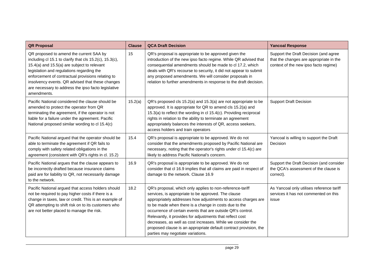| <b>QR Proposal</b>                                                                                                                                                                                                                                                                                                                                                                  | <b>Clause</b> | <b>QCA Draft Decision</b>                                                                                                                                                                                                                                                                                                                                                                                                                                                                                                                       | <b>Yancoal Response</b>                                                                                                   |
|-------------------------------------------------------------------------------------------------------------------------------------------------------------------------------------------------------------------------------------------------------------------------------------------------------------------------------------------------------------------------------------|---------------|-------------------------------------------------------------------------------------------------------------------------------------------------------------------------------------------------------------------------------------------------------------------------------------------------------------------------------------------------------------------------------------------------------------------------------------------------------------------------------------------------------------------------------------------------|---------------------------------------------------------------------------------------------------------------------------|
| QR proposed to amend the current SAA by<br>including cl 15.1 to clarify that cls $15.2(c)$ , $15.3(c)$ ,<br>15.4(a) and 15.5(a) are subject to relevant<br>legislation and regulations regarding the<br>enforcement of contractual provisions relating to<br>insolvency events. QR advised that these changes<br>are necessary to address the ipso facto legislative<br>amendments. | 15            | QR's proposal is appropriate to be approved given the<br>introduction of the new ipso facto regime. While QR advised that<br>consequential amendments should be made to cl 17.2, which<br>deals with QR's recourse to security, it did not appear to submit<br>any proposed amendments. We will consider proposals in<br>relation to further amendments in response to the draft decision.                                                                                                                                                      | Support the Draft Decision (and agree<br>that the changes are appropriate in the<br>context of the new ipso facto regime) |
| Pacific National considered the clause should be<br>amended to protect the operator from QR<br>terminating the agreement, if the operator is not<br>liable for a failure under the agreement. Pacific<br>National proposed similar wording to cl 15.4(c)                                                                                                                            | 15.2(a)       | QR's proposed cls 15.2(a) and 15.3(a) are not appropriate to be<br>approved. It is appropriate for QR to amend cls 15.2(a) and<br>15.3(a) to reflect the wording in cl 15.4(c). Providing reciprocal<br>rights in relation to the ability to terminate an agreement<br>appropriately balances the interests of QR, access seekers,<br>access holders and train operators                                                                                                                                                                        | <b>Support Draft Decision</b>                                                                                             |
| Pacific National argued that the operator should be<br>able to terminate the agreement if QR fails to<br>comply with safety related obligations in the<br>agreement (consistent with QR's rights in cl. 15.2)                                                                                                                                                                       | 15.4          | QR's proposal is appropriate to be approved. We do not<br>consider that the amendments proposed by Pacific National are<br>necessary, noting that the operator's rights under cl 15.4(c) are<br>likely to address Pacific National's concern.                                                                                                                                                                                                                                                                                                   | Yancoal is willing to support the Draft<br>Decision                                                                       |
| Pacific National argues that the clause appears to<br>be incorrectly drafted because insurance claims<br>paid are for liability to QR, not necessarily damage<br>to the network.                                                                                                                                                                                                    | 16.9          | QR's proposal is appropriate to be approved. We do not<br>consider that cl 16.9 implies that all claims are paid in respect of<br>damage to the network. Clause 16.9                                                                                                                                                                                                                                                                                                                                                                            | Support the Draft Decision (and consider<br>the QCA's assessment of the clause is<br>correct).                            |
| Pacific National argued that access holders should<br>not be required to pay higher costs if there is a<br>change in taxes, law or credit. This is an example of<br>QR attempting to shift risk on to its customers who<br>are not better placed to manage the risk.                                                                                                                | 18.2          | QR's proposal, which only applies to non-reference-tariff<br>services, is appropriate to be approved. The clause<br>appropriately addresses how adjustments to access charges are<br>to be made when there is a change in costs due to the<br>occurrence of certain events that are outside QR's control.<br>Relevantly, it provides for adjustments that reflect cost<br>decreases, as well as cost increases. While we consider the<br>proposed clause is an appropriate default contract provision, the<br>parties may negotiate variations. | As Yancoal only utilises reference tariff<br>services it has not commented on this<br>issue                               |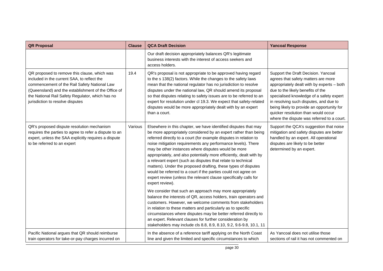| <b>QR Proposal</b>                                                                                                                                                                                                                                                                         | <b>Clause</b> | <b>QCA Draft Decision</b>                                                                                                                                                                                                                                                                                                                                                                                                                                                                                                                                                                                                                                                                                                                                                                                                                                                                                                                                                                                                                                                                                                                                           | <b>Yancoal Response</b>                                                                                                                                                                                                                                                                                                                                                                |
|--------------------------------------------------------------------------------------------------------------------------------------------------------------------------------------------------------------------------------------------------------------------------------------------|---------------|---------------------------------------------------------------------------------------------------------------------------------------------------------------------------------------------------------------------------------------------------------------------------------------------------------------------------------------------------------------------------------------------------------------------------------------------------------------------------------------------------------------------------------------------------------------------------------------------------------------------------------------------------------------------------------------------------------------------------------------------------------------------------------------------------------------------------------------------------------------------------------------------------------------------------------------------------------------------------------------------------------------------------------------------------------------------------------------------------------------------------------------------------------------------|----------------------------------------------------------------------------------------------------------------------------------------------------------------------------------------------------------------------------------------------------------------------------------------------------------------------------------------------------------------------------------------|
|                                                                                                                                                                                                                                                                                            |               | Our draft decision appropriately balances QR's legitimate<br>business interests with the interest of access seekers and<br>access holders.                                                                                                                                                                                                                                                                                                                                                                                                                                                                                                                                                                                                                                                                                                                                                                                                                                                                                                                                                                                                                          |                                                                                                                                                                                                                                                                                                                                                                                        |
| QR proposed to remove this clause, which was<br>included in the current SAA, to reflect the<br>commencement of the Rail Safety National Law<br>(Queensland) and the establishment of the Office of<br>the National Rail Safety Regulator, which has no<br>jurisdiction to resolve disputes | 19.4          | QR's proposal is not appropriate to be approved having regard<br>to the s 138(2) factors. While the changes to the safety laws<br>mean that the national regulator has no jurisdiction to resolve<br>disputes under the national law, QR should amend its proposal<br>so that disputes relating to safety issues are to be referred to an<br>expert for resolution under cl 19.3. We expect that safety-related<br>disputes would be more appropriately dealt with by an expert<br>than a court.                                                                                                                                                                                                                                                                                                                                                                                                                                                                                                                                                                                                                                                                    | Support the Draft Decision. Yancoal<br>agrees that safety matters are more<br>appropriately dealt with by experts - both<br>due to the likely benefits of the<br>specialised knowledge of a safety expert<br>in resolving such disputes, and due to<br>being likely to provide an opportunity for<br>quicker resolution than would occur<br>where the dispute was referred to a court. |
| QR's proposed dispute resolution mechanism<br>requires the parties to agree to refer a dispute to an<br>expert, unless the SAA explicitly requires a dispute<br>to be referred to an expert                                                                                                | Various       | Elsewhere in this chapter, we have identified disputes that may<br>be more appropriately considered by an expert rather than being<br>referred directly to a court (for example disputes in relation to<br>noise mitigation requirements any performance levels). There<br>may be other instances where disputes would be more<br>appropriately, and also potentially more efficiently, dealt with by<br>a relevant expert (such as disputes that relate to technical<br>matters). Under the proposed drafting, these types of disputes<br>would be referred to a court if the parties could not agree on<br>expert review (unless the relevant clause specifically calls for<br>expert review).<br>We consider that such an approach may more appropriately<br>balance the interests of QR, access holders, train operators and<br>customers. However, we welcome comments from stakeholders<br>in relation to these matters and particularly as to specific<br>circumstances where disputes may be better referred directly to<br>an expert. Relevant clauses for further consideration by<br>stakeholders may include cls 8.8, 8.9, 8.10, 9.2, 9.6-9.8, 10.1, 11 | Support the QCA's suggestion that noise<br>mitigation and safety disputes are better<br>handled by an expert. All operational<br>disputes are likely to be better<br>determined by an expert.                                                                                                                                                                                          |
| Pacific National argues that QR should reimburse<br>train operators for take-or-pay charges incurred on                                                                                                                                                                                    |               | In the absence of a reference tariff applying on the North Coast<br>line and given the limited and specific circumstances to which                                                                                                                                                                                                                                                                                                                                                                                                                                                                                                                                                                                                                                                                                                                                                                                                                                                                                                                                                                                                                                  | As Yancoal does not utilise those<br>sections of rail it has not commented on                                                                                                                                                                                                                                                                                                          |